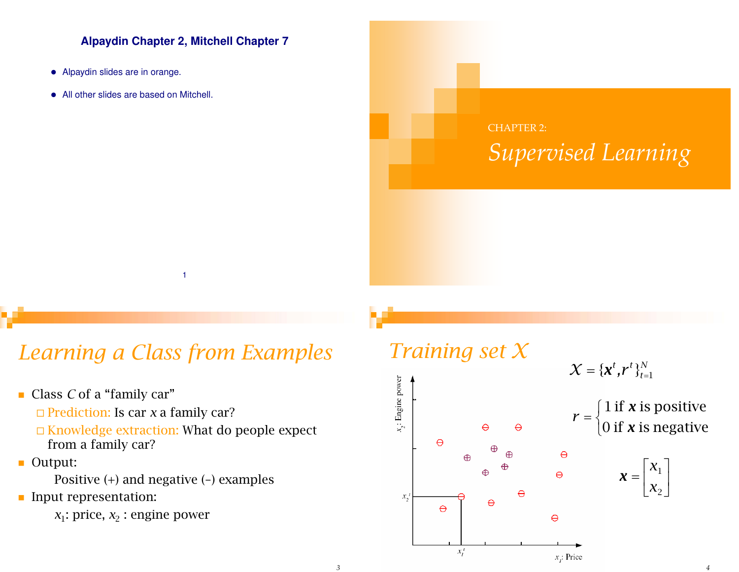#### **Alpaydin Chapter 2, Mitchell Chapter 7**

- Alpaydin slides are in orange.
- All other slides are based on Mitchell.



### *Learning a Class from Examples*

1

- Class *C* of a "family car" □ Prediction: Is car *x* a family car? Knowledge extraction: What do people expect from a family car?
- Output:

Positive (+) and negative (–) examples

Input representation:

 $x_1$ : price,  $x_2$ : engine power

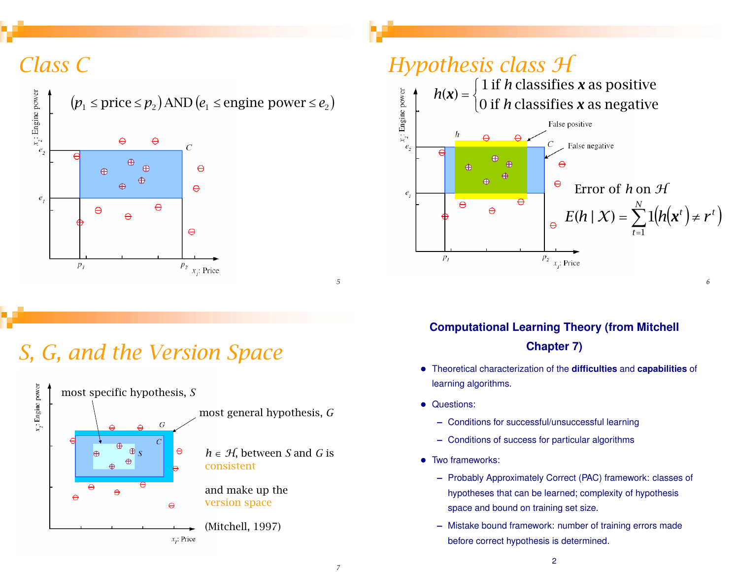# *Class C*



# *S, G, and the Version Space*





### **Computational Learning Theory (from Mitchell Chapter 7)**

- Theoretical characterization of the **difficulties** and **capabilities** of learning algorithms.
- Questions:
	- **–** Conditions for successful/unsuccessful learning
	- **–** Conditions of success for particular algorithms
- Two frameworks:
	- **–** Probably Approximately Correct (PAC) framework: classes of hypotheses that can be learned; complexity of hypothesis space and bound on training set size.
	- **–** Mistake bound framework: number of training errors made before correct hypothesis is determined.

*5*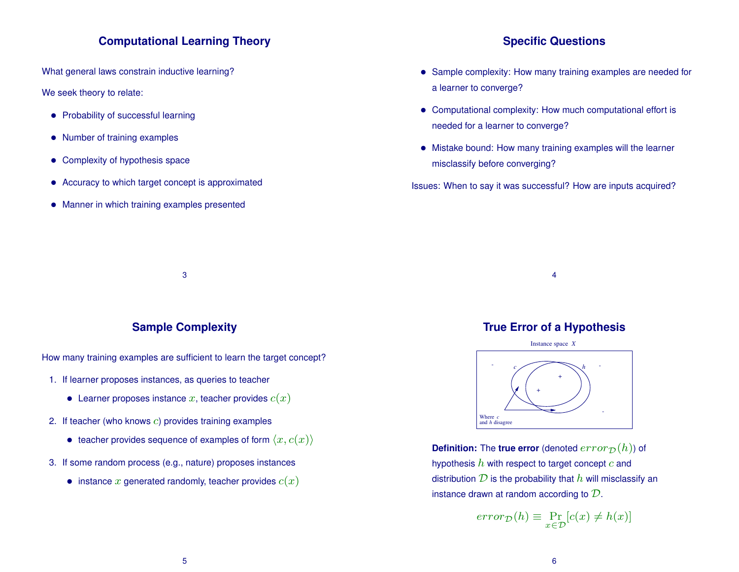#### **Computational Learning Theory**

What general laws constrain inductive learning?

We seek theory to relate:

- Probability of successful learning
- Number of training examples
- Complexity of hypothesis space
- Accuracy to which target concept is approximated
- Manner in which training examples presented

#### **Specific Questions**

- Sample complexity: How many training examples are needed for a learner to converge?
- Computational complexity: How much computational effort is needed for a learner to converge?
- Mistake bound: How many training examples will the learner misclassify before converging?

Issues: When to say it was successful? How are inputs acquired?

3

#### **Sample Complexity**

How many training examples are sufficient to learn the target concept?

- 1. If learner proposes instances, as queries to teacher
	- Learner proposes instance x, teacher provides  $c(x)$
- 2. If teacher (who knows c) provides training examples
	- teacher provides sequence of examples of form  $\langle x, c(x) \rangle$
- 3. If some random process (e.g., nature) proposes instances
	- instance x generated randomly, teacher provides  $c(x)$

#### **True Error of a Hypothesis**

4



**Definition:** The **true error** (denoted  $error_{\mathcal{D}}(h)$ ) of hypothesis  $h$  with respect to target concept  $c$  and distribution  $D$  is the probability that  $h$  will misclassify an instance drawn at random according to  $D$ .

$$
error_{\mathcal{D}}(h) \equiv \Pr_{x \in \mathcal{D}}[c(x) \neq h(x)]
$$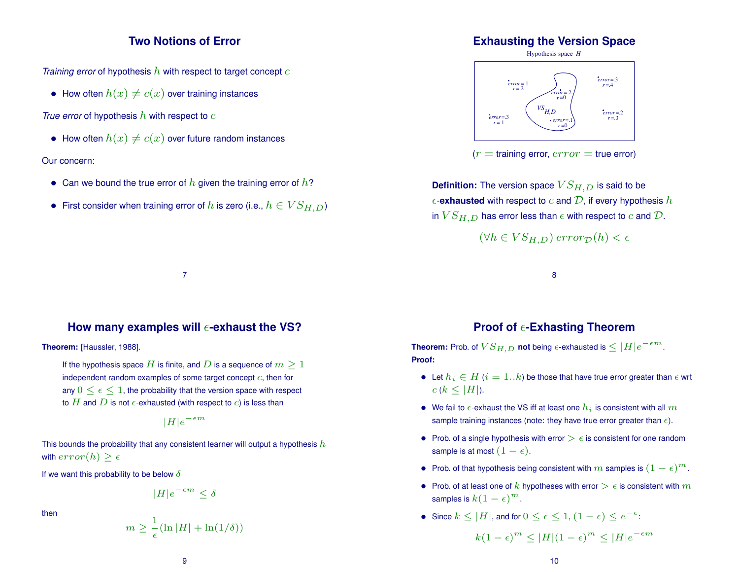#### **Two Notions of Error**

*Training error* of hypothesis h with respect to target concept c

• How often  $h(x) \neq c(x)$  over training instances

*True error* of hypothesis h with respect to c

• How often  $h(x) \neq c(x)$  over future random instances

#### Our concern:

- Can we bound the true error of  $h$  given the training error of  $h$ ?
- First consider when training error of h is zero (i.e.,  $h \in VS_{H,D}$ )

#### **Exhausting the Version Space**





**Definition:** The version space  $VS_{H,D}$  is said to be  $\epsilon$ -**exhausted** with respect to c and  $\mathcal{D}$ , if every hypothesis h in  $VS_{H,D}$  has error less than  $\epsilon$  with respect to c and  $\mathcal{D}$ .

$$
(\forall h \in VS_{H,D})\,error_{\mathcal{D}}(h) < \epsilon
$$

8

#### How many examples will  $\epsilon$ -exhaust the VS?

7

**Theorem:** [Haussler, 1988].

If the hypothesis space H is finite, and D is a sequence of  $m \geq 1$ independent random examples of some target concept  $c$ , then for any  $0 \leq \epsilon \leq 1$ , the probability that the version space with respect to  $H$  and  $D$  is not  $\epsilon$ -exhausted (with respect to  $c$ ) is less than

$$
|H|e^{-\epsilon m}
$$

This bounds the probability that any consistent learner will output a hypothesis  $h$ with  $error(h) > \epsilon$ 

If we want this probability to be below  $\delta$ 

$$
|H|e^{-\epsilon m} \le \delta
$$

then

$$
m \ge \frac{1}{\epsilon} (\ln |H| + \ln(1/\delta))
$$

#### **Proof of**  $\epsilon$ **-Exhasting Theorem**

**Theorem:** Prob. of  $VS_{H,D}$  **not** being  $\epsilon$ -exhausted is  $\leq |H|e^{-\epsilon m}$ . **Proof:**

- Let  $h_i \in H$   $(i = 1..k)$  be those that have true error greater than  $\epsilon$  wrt  $c (k \leq |H|)$ .
- We fail to  $\epsilon$ -exhaust the VS iff at least one  $h_i$  is consistent with all  $m$ sample training instances (note: they have true error greater than  $\epsilon$ ).
- Prob. of a single hypothesis with error  $\geq \epsilon$  is consistent for one random sample is at most  $(1 - \epsilon)$ .
- Prob. of that hypothesis being consistent with  $m$  samples is  $(1 \epsilon)^m$ .
- Prob. of at least one of k hypotheses with error  $\geq \epsilon$  is consistent with  $m$ samples is  $k(1-\epsilon)^m$ .
- Since  $k \leq |H|$ , and for  $0 \leq \epsilon \leq 1$ ,  $(1 \epsilon) \leq e^{-\epsilon}$ :

$$
k(1-\epsilon)^m \le |H|(1-\epsilon)^m \le |H|e^{-\epsilon m}
$$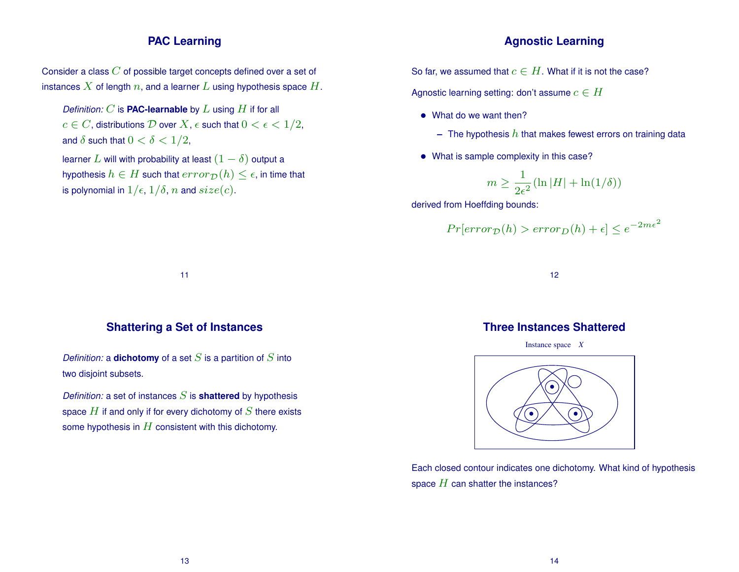#### **PAC Learning**

#### **Agnostic Learning**

Consider a class  $C$  of possible target concepts defined over a set of instances X of length n, and a learner L using hypothesis space  $H$ .

*Definition:*  $C$  is **PAC-learnable** by  $L$  using  $H$  if for all  $c \in C$ , distributions  $D$  over  $X$ ,  $\epsilon$  such that  $0 < \epsilon < 1/2$ , and  $\delta$  such that  $0 < \delta < 1/2$ , learner L will with probability at least  $(1 - \delta)$  output a

hypothesis  $h \in H$  such that  $error_{\mathcal{D}}(h) \leq \epsilon$ , in time that is polynomial in  $1/\epsilon$ ,  $1/\delta$ , n and  $size(c)$ .

So far, we assumed that  $c \in H$ . What if it is not the case?

Agnostic learning setting: don't assume  $c \in H$ 

- What do we want then?
	- $-$  The hypothesis  $h$  that makes fewest errors on training data
- What is sample complexity in this case?

$$
m \ge \frac{1}{2\epsilon^2} (\ln |H| + \ln(1/\delta))
$$

derived from Hoeffding bounds:

$$
Pr[error_{\mathcal{D}}(h) > error_{D}(h) + \epsilon] \le e^{-2m\epsilon^2}
$$

11

#### **Shattering a Set of Instances**

*Definition:* a **dichotomy** of a set  $S$  is a partition of  $S$  into two disjoint subsets.

*Definition:* a set of instances  $S$  is **shattered** by hypothesis space  $H$  if and only if for every dichotomy of  $S$  there exists some hypothesis in  $H$  consistent with this dichotomy.

12

#### **Three Instances Shattered**

Instance space *X*



Each closed contour indicates one dichotomy. What kind of hypothesis space  $H$  can shatter the instances?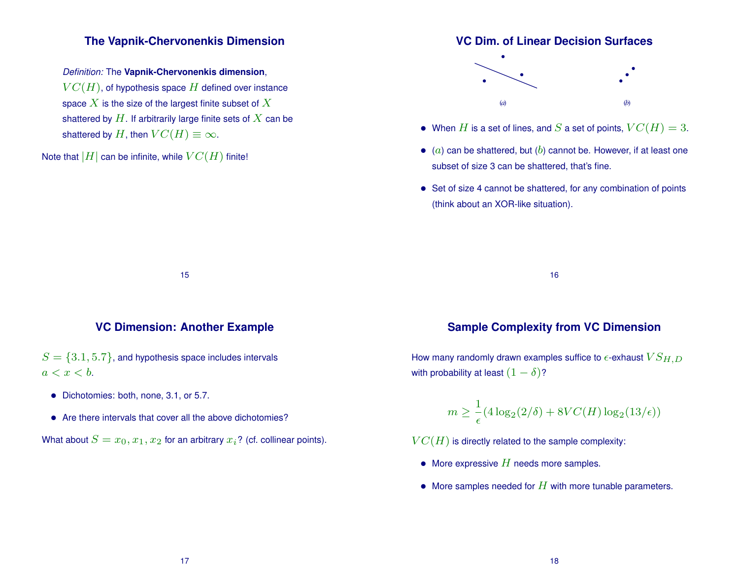#### **The Vapnik-Chervonenkis Dimension**

*Definition:* The **Vapnik-Chervonenkis dimension**,  $VC(H)$ , of hypothesis space H defined over instance space  $X$  is the size of the largest finite subset of  $X$ shattered by  $H$ . If arbitrarily large finite sets of  $X$  can be shattered by H, then  $VC(H) \equiv \infty$ .

Note that  $|H|$  can be infinite, while  $VC(H)$  finite!

#### **VC Dim. of Linear Decision Surfaces**



- When H is a set of lines, and S a set of points,  $VC(H) = 3$ .
- $\bullet$  (a) can be shattered, but (b) cannot be. However, if at least one subset of size 3 can be shattered, that's fine.
- Set of size 4 cannot be shattered, for any combination of points (think about an XOR-like situation).

16

#### **VC Dimension: Another Example**

15

 $S = \{3.1, 5.7\}$ , and hypothesis space includes intervals  $a < x < b$ .

- Dichotomies: both, none, 3.1, or 5.7.
- Are there intervals that cover all the above dichotomies?

What about  $S = x_0, x_1, x_2$  for an arbitrary  $x_i$ ? (cf. collinear points).

#### **Sample Complexity from VC Dimension**

How many randomly drawn examples suffice to  $\epsilon$ -exhaust  $VS_{H,D}$ with probability at least  $(1 - \delta)$ ?

$$
m \ge \frac{1}{\epsilon} (4\log_2(2/\delta) + 8VC(H)\log_2(13/\epsilon))
$$

 $VC(H)$  is directly related to the sample complexity:

- More expressive  $H$  needs more samples.
- More samples needed for  $H$  with more tunable parameters.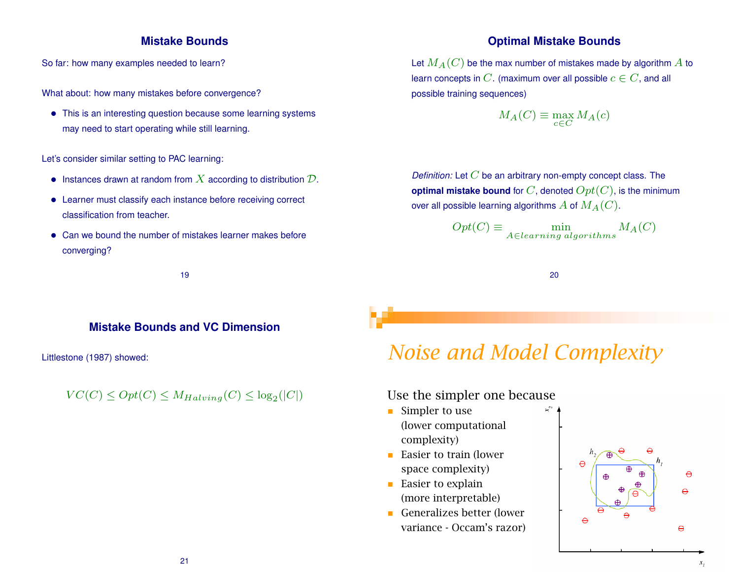#### **Mistake Bounds**

So far: how many examples needed to learn?

What about: how many mistakes before convergence?

• This is an interesting question because some learning systems may need to start operating while still learning.

Let's consider similar setting to PAC learning:

- Instances drawn at random from  $X$  according to distribution  $D$ .
- Learner must classify each instance before receiving correct classification from teacher.
- Can we bound the number of mistakes learner makes before converging?

19

#### **Mistake Bounds and VC Dimension**

Littlestone (1987) showed:

 $VC(C) \le Opt(C) \le M_{Halving}(C) \le log_2(|C|)$ 

#### **Optimal Mistake Bounds**

Let  $M_A(C)$  be the max number of mistakes made by algorithm A to learn concepts in C. (maximum over all possible  $c \in C$ , and all possible training sequences)

$$
M_A(C) \equiv \max_{c \in C} M_A(c)
$$

*Definition:* Let C be an arbitrary non-empty concept class. The **optimal mistake bound** for  $C$ , denoted  $Opt(C)$ , is the minimum over all possible learning algorithms  $A$  of  $M_A(C)$ .

$$
Opt(C) \equiv \min_{A \in learning\ algorithms} M_A(C)
$$

20

### *Noise and Model Complexity*

#### Use the simpler one because

- Simpler to use (lower computational complexity)
- Easier to train (lower space complexity)
- $\blacksquare$  Easier to explain (more interpretable)
- Generalizes better (lower variance - Occam's razor)

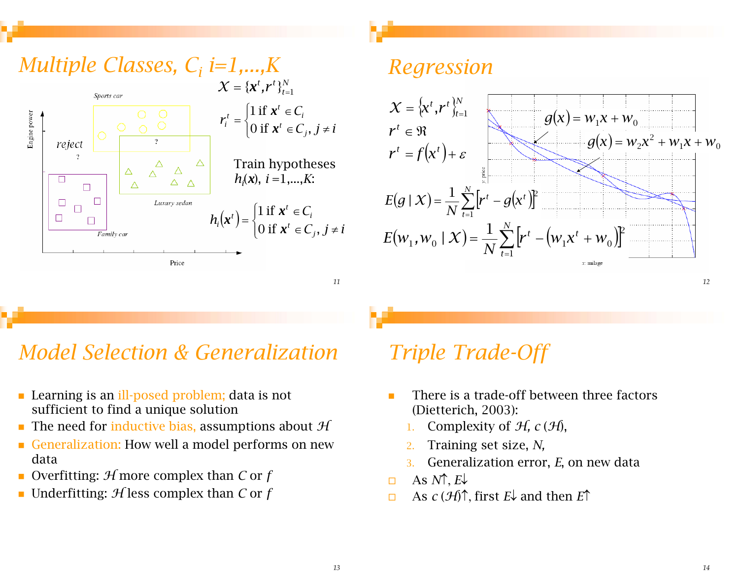

### Regression



## **Model Selection & Generalization**

- Learning is an ill-posed problem; data is not sufficient to find a unique solution
- The need for inductive bias, assumptions about  $H$
- Generalization: How well a model performs on new data
- Overfitting:  $H$  more complex than C or f
- Underfitting:  $\mathcal{H}$  less complex than C or f

### **Triple Trade-Off**

- There is a trade-off between three factors  $\mathbf{r}$ (Dietterich, 2003):
	- Complexity of  $H$ ,  $c(H)$ ,
	- Training set size, N,
	- Generalization error, E, on new data  $\overline{3}$
- As  $N \uparrow E$ .  $\Box$
- As  $c(\mathcal{H})\uparrow$ , first  $E\downarrow$  and then  $E\uparrow$  $\Box$